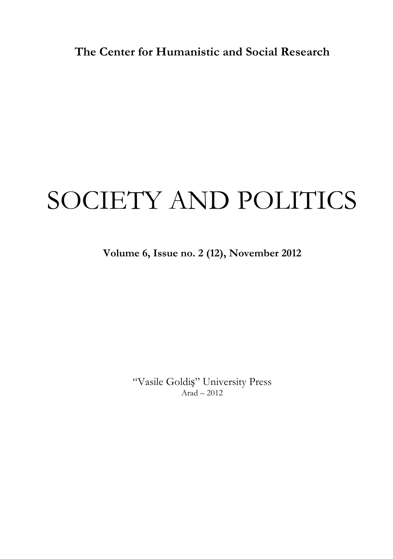**The Center for Humanistic and Social Research**

# SOCIETY AND POLITICS

**Volume 6, Issue no. 2 (12), November 2012**

"Vasile Goldiș" University Press Arad – 2012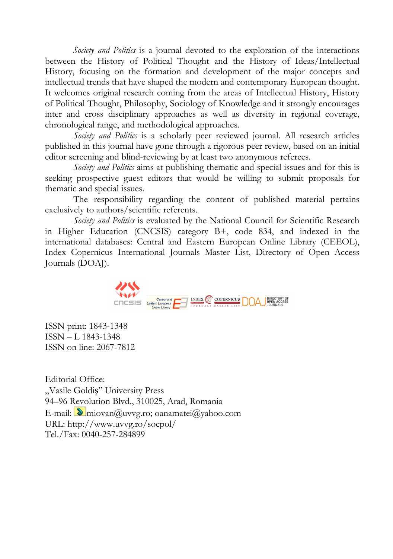*Society and Politics* is a journal devoted to the exploration of the interactions between the History of Political Thought and the History of Ideas/Intellectual History, focusing on the formation and development of the major concepts and intellectual trends that have shaped the modern and contemporary European thought. It welcomes original research coming from the areas of Intellectual History, History of Political Thought, Philosophy, Sociology of Knowledge and it strongly encourages inter and cross disciplinary approaches as well as diversity in regional coverage, chronological range, and methodological approaches.

*Society and Politics* is a scholarly peer reviewed journal. All research articles published in this journal have gone through a rigorous peer review, based on an initial editor screening and blind-reviewing by at least two anonymous referees.

*Society and Politics* aims at publishing thematic and special issues and for this is seeking prospective guest editors that would be willing to submit proposals for thematic and special issues.

The responsibility regarding the content of published material pertains exclusively to authors/scientific referents.

*Society and Politics* is evaluated by the National Council for Scientific Research in Higher Education (CNCSIS) category B+, code 834, and indexed in the international databases: Central and Eastern European Online Library (CEEOL), Index Copernicus International Journals Master List, Directory of Open Access Journals (DOAJ).



ISSN print: 1843-1348 ISSN – L 1843-1348 ISSN on line: 2067-7812

Editorial Office: "Vasile Goldiș" University Press 94–96 Revolution Blvd., 310025, Arad, Romania E-mail:  $\bullet$  miovan@uvvg.ro; oanamatei@yahoo.com URL: http://www.uvvg.ro/socpol/ Tel./Fax: 0040-257-284899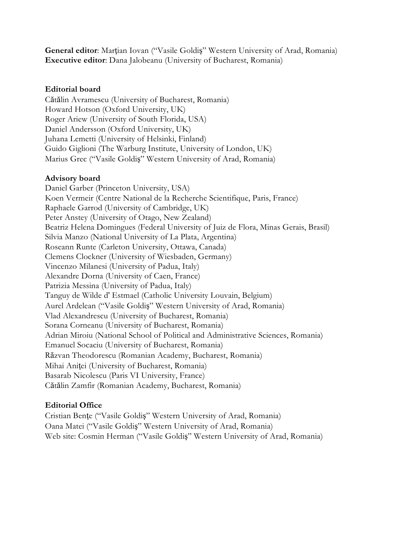**General editor**: Marţian Iovan ("Vasile Goldiş" Western University of Arad, Romania) **Executive editor**: Dana Jalobeanu (University of Bucharest, Romania)

### **Editorial board**

Cătălin Avramescu (University of Bucharest, Romania) Howard Hotson (Oxford University, UK) Roger Ariew (University of South Florida, USA) Daniel Andersson (Oxford University, UK) Juhana Lemetti (University of Helsinki, Finland) Guido Giglioni (The Warburg Institute, University of London, UK) Marius Grec ("Vasile Goldiş" Western University of Arad, Romania)

### **Advisory board**

Daniel Garber (Princeton University, USA) Koen Vermeir (Centre National de la Recherche Scientifique, Paris, France) Raphaele Garrod (University of Cambridge, UK) Peter Anstey (University of Otago, New Zealand) Beatriz Helena Domingues (Federal University of Juiz de Flora, Minas Gerais, Brasil) Silvia Manzo (National University of La Plata, Argentina) Roseann Runte (Carleton University, Ottawa, Canada) Clemens Clockner (University of Wiesbaden, Germany) Vincenzo Milanesi (University of Padua, Italy) Alexandre Dorna (University of Caen, France) Patrizia Messina (University of Padua, Italy) Tanguy de Wilde d' Estmael (Catholic University Louvain, Belgium) Aurel Ardelean ("Vasile Goldiş" Western University of Arad, Romania) Vlad Alexandrescu (University of Bucharest, Romania) Sorana Corneanu (University of Bucharest, Romania) Adrian Miroiu (National School of Political and Administrative Sciences, Romania) Emanuel Socaciu (University of Bucharest, Romania) Răzvan Theodorescu (Romanian Academy, Bucharest, Romania) Mihai Aniţei (University of Bucharest, Romania) Basarab Nicolescu (Paris VI University, France) Cătălin Zamfir (Romanian Academy, Bucharest, Romania)

### **Editorial Office**

Cristian Benţe ("Vasile Goldiş" Western University of Arad, Romania) Oana Matei ("Vasile Goldiş" Western University of Arad, Romania) Web site: Cosmin Herman ("Vasile Goldiş" Western University of Arad, Romania)